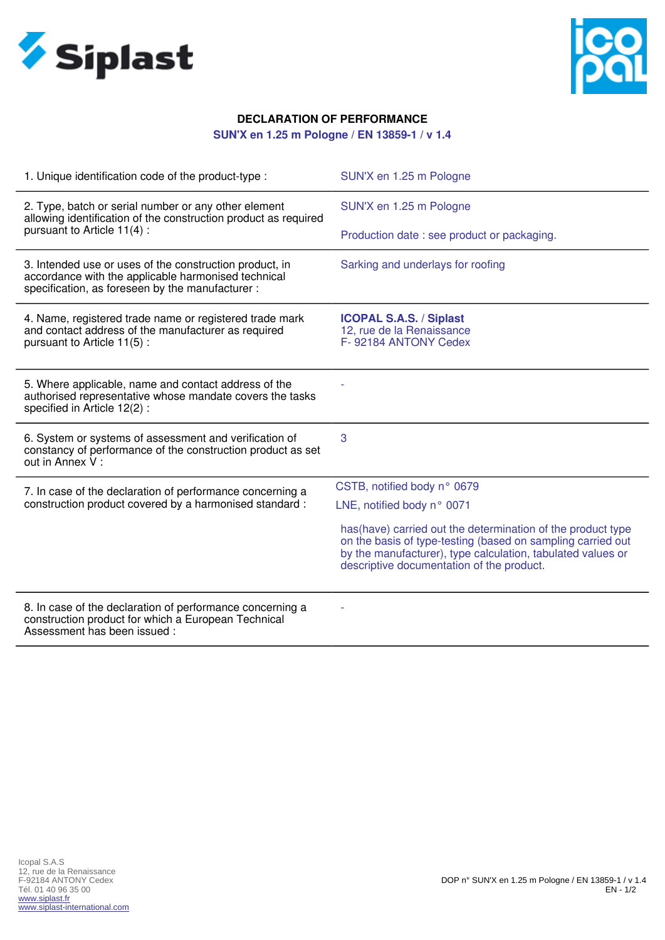



## **DECLARATION OF PERFORMANCE**

## **SUN'X en 1.25 m Pologne / EN 13859-1 / v 1.4**

| 1. Unique identification code of the product-type :                                                                                                                | SUN'X en 1.25 m Pologne                                                                                                                                                                                                                 |
|--------------------------------------------------------------------------------------------------------------------------------------------------------------------|-----------------------------------------------------------------------------------------------------------------------------------------------------------------------------------------------------------------------------------------|
| 2. Type, batch or serial number or any other element<br>allowing identification of the construction product as required                                            | SUN'X en 1.25 m Pologne                                                                                                                                                                                                                 |
| pursuant to Article 11(4):                                                                                                                                         | Production date: see product or packaging.                                                                                                                                                                                              |
| 3. Intended use or uses of the construction product, in<br>accordance with the applicable harmonised technical<br>specification, as foreseen by the manufacturer : | Sarking and underlays for roofing                                                                                                                                                                                                       |
| 4. Name, registered trade name or registered trade mark<br>and contact address of the manufacturer as required<br>pursuant to Article 11(5):                       | <b>ICOPAL S.A.S. / Siplast</b><br>12, rue de la Renaissance<br>F-92184 ANTONY Cedex                                                                                                                                                     |
| 5. Where applicable, name and contact address of the<br>authorised representative whose mandate covers the tasks<br>specified in Article 12(2):                    |                                                                                                                                                                                                                                         |
| 6. System or systems of assessment and verification of<br>constancy of performance of the construction product as set<br>out in Annex V:                           | 3                                                                                                                                                                                                                                       |
| 7. In case of the declaration of performance concerning a<br>construction product covered by a harmonised standard :                                               | CSTB, notified body n° 0679                                                                                                                                                                                                             |
|                                                                                                                                                                    | LNE, notified body n° 0071                                                                                                                                                                                                              |
|                                                                                                                                                                    | has (have) carried out the determination of the product type<br>on the basis of type-testing (based on sampling carried out<br>by the manufacturer), type calculation, tabulated values or<br>descriptive documentation of the product. |
| 8. In case of the declaration of performance concerning a<br>construction product for which a European Technical<br>Assessment has been issued :                   |                                                                                                                                                                                                                                         |